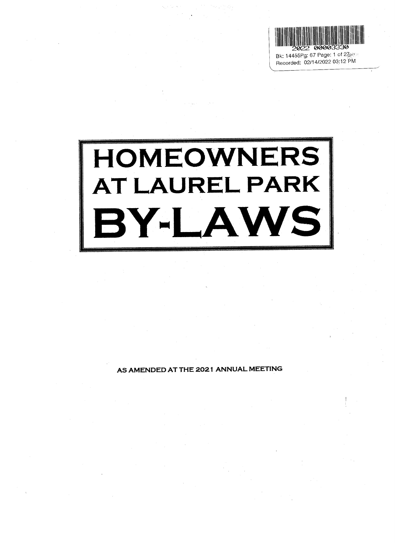

Recorded: 02/14/2022 03:12 PM

# HOMEOWNERS AT LAUREL PARK BY-LAWS

per

AS AMENDED AT THE 2021 ANNUAL MEETING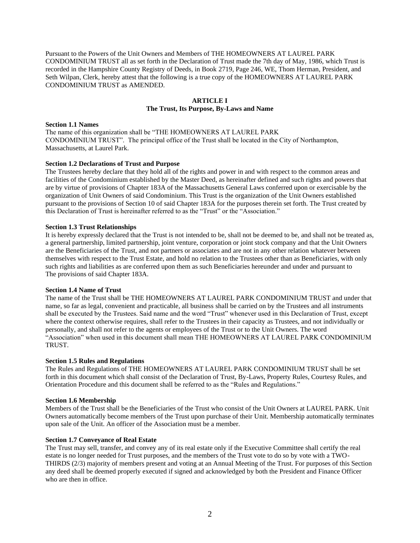Pursuant to the Powers of the Unit Owners and Members of THE HOMEOWNERS AT LAUREL PARK CONDOMINIUM TRUST all as set forth in the Declaration of Trust made the 7th day of May, 1986, which Trust is recorded in the Hampshire County Registry of Deeds, in Book 2719, Page 246, WE, Thom Herman, President, and Seth Wilpan, Clerk, hereby attest that the following is a true copy of the HOMEOWNERS AT LAUREL PARK CONDOMINIUM TRUST as AMENDED.

# **ARTICLE I The Trust, Its Purpose, By-Laws and Name**

# **Section 1.1 Names**

The name of this organization shall be "THE HOMEOWNERS AT LAUREL PARK CONDOMINIUM TRUST". The principal office of the Trust shall be located in the City of Northampton, Massachusetts, at Laurel Park.

# **Section 1.2 Declarations of Trust and Purpose**

The Trustees hereby declare that they hold all of the rights and power in and with respect to the common areas and facilities of the Condominium established by the Master Deed, as hereinafter defined and such rights and powers that are by virtue of provisions of Chapter 183A of the Massachusetts General Laws conferred upon or exercisable by the organization of Unit Owners of said Condominium. This Trust is the organization of the Unit Owners established pursuant to the provisions of Section 10 of said Chapter 183A for the purposes therein set forth. The Trust created by this Declaration of Trust is hereinafter referred to as the "Trust" or the "Association."

# **Section 1.3 Trust Relationships**

It is hereby expressly declared that the Trust is not intended to be, shall not be deemed to be, and shall not be treated as, a general partnership, limited partnership, joint venture, corporation or joint stock company and that the Unit Owners are the Beneficiaries of the Trust, and not partners or associates and are not in any other relation whatever between themselves with respect to the Trust Estate, and hold no relation to the Trustees other than as Beneficiaries, with only such rights and liabilities as are conferred upon them as such Beneficiaries hereunder and under and pursuant to The provisions of said Chapter 183A.

# **Section 1.4 Name of Trust**

The name of the Trust shall be THE HOMEOWNERS AT LAUREL PARK CONDOMINIUM TRUST and under that name, so far as legal, convenient and practicable, all business shall be carried on by the Trustees and all instruments shall be executed by the Trustees. Said name and the word "Trust" whenever used in this Declaration of Trust, except where the context otherwise requires, shall refer to the Trustees in their capacity as Trustees, and not individually or personally, and shall not refer to the agents or employees of the Trust or to the Unit Owners. The word "Association" when used in this document shall mean THE HOMEOWNERS AT LAUREL PARK CONDOMINIUM TRUST.

## **Section 1.5 Rules and Regulations**

The Rules and Regulations of THE HOMEOWNERS AT LAUREL PARK CONDOMINIUM TRUST shall be set forth in this document which shall consist of the Declaration of Trust, By-Laws, Property Rules, Courtesy Rules, and Orientation Procedure and this document shall be referred to as the "Rules and Regulations."

# **Section 1.6 Membership**

Members of the Trust shall be the Beneficiaries of the Trust who consist of the Unit Owners at LAUREL PARK. Unit Owners automatically become members of the Trust upon purchase of their Unit. Membership automatically terminates upon sale of the Unit. An officer of the Association must be a member.

# **Section 1.7 Conveyance of Real Estate**

The Trust may sell, transfer, and convey any of its real estate only if the Executive Committee shall certify the real estate is no longer needed for Trust purposes, and the members of the Trust vote to do so by vote with a TWO-THIRDS (2/3) majority of members present and voting at an Annual Meeting of the Trust. For purposes of this Section any deed shall be deemed properly executed if signed and acknowledged by both the President and Finance Officer who are then in office.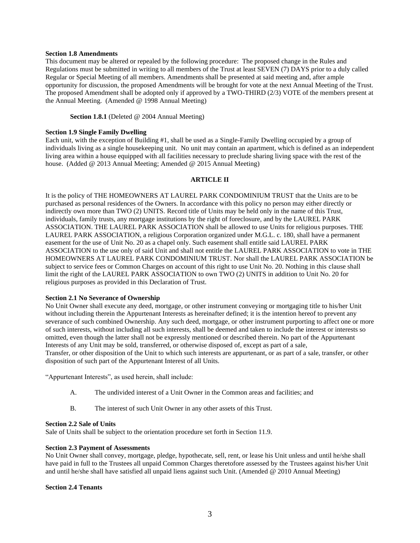## **Section 1.8 Amendments**

This document may be altered or repealed by the following procedure: The proposed change in the Rules and Regulations must be submitted in writing to all members of the Trust at least SEVEN (7) DAYS prior to a duly called Regular or Special Meeting of all members. Amendments shall be presented at said meeting and, after ample opportunity for discussion, the proposed Amendments will be brought for vote at the next Annual Meeting of the Trust. The proposed Amendment shall be adopted only if approved by a TWO-THIRD (2/3) VOTE of the members present at the Annual Meeting. (Amended @ 1998 Annual Meeting)

**Section 1.8.1** (Deleted @ 2004 Annual Meeting)

# **Section 1.9 Single Family Dwelling**

Each unit, with the exception of Building #1, shall be used as a Single-Family Dwelling occupied by a group of individuals living as a single housekeeping unit. No unit may contain an apartment, which is defined as an independent living area within a house equipped with all facilities necessary to preclude sharing living space with the rest of the house. (Added @ 2013 Annual Meeting; Amended @ 2015 Annual Meeting)

## **ARTICLE II**

It is the policy of THE HOMEOWNERS AT LAUREL PARK CONDOMINIUM TRUST that the Units are to be purchased as personal residences of the Owners. In accordance with this policy no person may either directly or indirectly own more than TWO (2) UNITS. Record title of Units may be held only in the name of this Trust, individuals, family trusts, any mortgage institutions by the right of foreclosure, and by the LAUREL PARK ASSOCIATION. THE LAUREL PARK ASSOCIATION shall be allowed to use Units for religious purposes. THE LAUREL PARK ASSOCIATION, a religious Corporation organized under M.G.L. c. 180, shall have a permanent easement for the use of Unit No. 20 as a chapel only. Such easement shall entitle said LAUREL PARK ASSOCIATION to the use only of said Unit and shall not entitle the LAUREL PARK ASSOCIATION to vote in THE HOMEOWNERS AT LAUREL PARK CONDOMINIUM TRUST. Nor shall the LAUREL PARK ASSOCIATION be subject to service fees or Common Charges on account of this right to use Unit No. 20. Nothing in this clause shall limit the right of the LAUREL PARK ASSOCIATION to own TWO (2) UNITS in addition to Unit No. 20 for religious purposes as provided in this Declaration of Trust.

## **Section 2.1 No Severance of Ownership**

No Unit Owner shall execute any deed, mortgage, or other instrument conveying or mortgaging title to his/her Unit without including therein the Appurtenant Interests as hereinafter defined; it is the intention hereof to prevent any severance of such combined Ownership. Any such deed, mortgage, or other instrument purporting to affect one or more of such interests, without including all such interests, shall be deemed and taken to include the interest or interests so omitted, even though the latter shall not be expressly mentioned or described therein. No part of the Appurtenant Interests of any Unit may be sold, transferred, or otherwise disposed of, except as part of a sale, Transfer, or other disposition of the Unit to which such interests are appurtenant, or as part of a sale, transfer, or other disposition of such part of the Appurtenant Interest of all Units.

"Appurtenant Interests", as used herein, shall include:

- A. The undivided interest of a Unit Owner in the Common areas and facilities; and
- B. The interest of such Unit Owner in any other assets of this Trust.

#### **Section 2.2 Sale of Units**

Sale of Units shall be subject to the orientation procedure set forth in Section 11.9.

## **Section 2.3 Payment of Assessments**

No Unit Owner shall convey, mortgage, pledge, hypothecate, sell, rent, or lease his Unit unless and until he/she shall have paid in full to the Trustees all unpaid Common Charges theretofore assessed by the Trustees against his/her Unit and until he/she shall have satisfied all unpaid liens against such Unit. (Amended @ 2010 Annual Meeting)

## **Section 2.4 Tenants**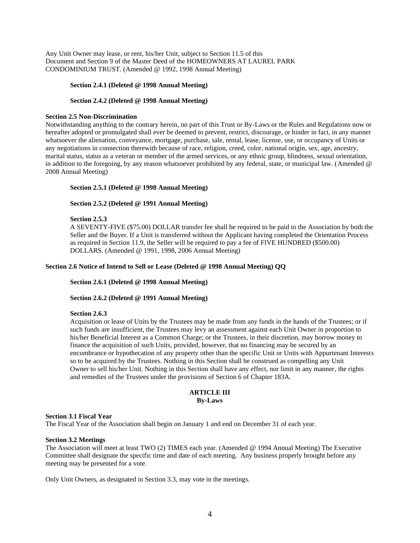Any Unit Owner may lease, or rent, his/her Unit, subject to Section 11.5 of this Document and Section 9 of the Master Deed of the HOMEOWNERS AT LAUREL PARK CONDOMINIUM TRUST. (Amended @ 1992, 1998 Annual Meeting)

#### **Section 2.4.1 (Deleted @ 1998 Annual Meeting)**

#### **Section 2.4.2 (Deleted @ 1998 Annual Meeting)**

#### **Section 2.5 Non-Discrimination**

Notwithstanding anything to the contrary herein, no part of this Trust or By-Laws or the Rules and Regulations now or hereafter adopted or promulgated shall ever be deemed to prevent, restrict, discourage, or hinder in fact, in any manner whatsoever the alienation, conveyance, mortgage, purchase, sale, rental, lease, license, use, or occupancy of Units or any negotiations in connection therewith because of race, religion, creed, color, national origin, sex, age, ancestry, marital status, status as a veteran or member of the armed services, or any ethnic group, blindness, sexual orientation, in addition to the foregoing, by any reason whatsoever prohibited by any federal, state, or municipal law. (Amended @ 2008 Annual Meeting)

## **Section 2.5.1 (Deleted @ 1998 Annual Meeting)**

# **Section 2.5.2 (Deleted @ 1991 Annual Meeting)**

#### **Section 2.5.3**

A SEVENTY-FIVE (\$75.00) DOLLAR transfer fee shall be required to be paid to the Association by both the Seller and the Buyer. If a Unit is transferred without the Applicant having completed the Orientation Process as required in Section 11.9, the Seller will be required to pay a fee of FIVE HUNDRED (\$500.00) DOLLARS. (Amended @ 1991, 1998, 2006 Annual Meeting)

#### **Section 2.6 Notice of Intend to Sell or Lease (Deleted @ 1998 Annual Meeting) QQ**

#### **Section 2.6.1 (Deleted @ 1998 Annual Meeting)**

## **Section 2.6.2 (Deleted @ 1991 Annual Meeting)**

#### **Section 2.6.3**

Acquisition or lease of Units by the Trustees may be made from any funds in the hands of the Trustees; or if such funds are insufficient, the Trustees may levy an assessment against each Unit Owner in proportion to his/her Beneficial Interest as a Common Charge; or the Trustees, in their discretion, may borrow money to finance the acquisition of such Units, provided, however, that no financing may be secured by an encumbrance or hypothecation of any property other than the specific Unit or Units with Appurtenant Interests so to be acquired by the Trustees. Nothing in this Section shall be construed as compelling any Unit Owner to sell his/her Unit. Nothing in this Section shall have any effect, nor limit in any manner, the rights and remedies of the Trustees under the provisions of Section 6 of Chapter 183A.

## **ARTICLE III By-Laws**

#### **Section 3.1 Fiscal Year**

The Fiscal Year of the Association shall begin on January 1 and end on December 31 of each year.

# **Section 3.2 Meetings**

The Association will meet at least TWO (2) TIMES each year. (Amended @ 1994 Annual Meeting) The Executive Committee shall designate the specific time and date of each meeting. Any business properly brought before any meeting may be presented for a vote.

Only Unit Owners, as designated in Section 3.3, may vote in the meetings.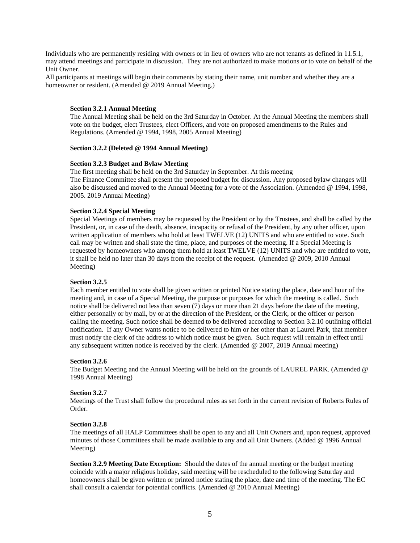Individuals who are permanently residing with owners or in lieu of owners who are not tenants as defined in 11.5.1, may attend meetings and participate in discussion. They are not authorized to make motions or to vote on behalf of the Unit Owner.

All participants at meetings will begin their comments by stating their name, unit number and whether they are a homeowner or resident. (Amended @ 2019 Annual Meeting.)

## **Section 3.2.1 Annual Meeting**

The Annual Meeting shall be held on the 3rd Saturday in October. At the Annual Meeting the members shall vote on the budget, elect Trustees, elect Officers, and vote on proposed amendments to the Rules and Regulations. (Amended @ 1994, 1998, 2005 Annual Meeting)

#### **Section 3.2.2 (Deleted @ 1994 Annual Meeting)**

#### **Section 3.2.3 Budget and Bylaw Meeting**

The first meeting shall be held on the 3rd Saturday in September. At this meeting The Finance Committee shall present the proposed budget for discussion. Any proposed bylaw changes will also be discussed and moved to the Annual Meeting for a vote of the Association. (Amended @ 1994, 1998, 2005. 2019 Annual Meeting)

## **Section 3.2.4 Special Meeting**

Special Meetings of members may be requested by the President or by the Trustees, and shall be called by the President, or, in case of the death, absence, incapacity or refusal of the President, by any other officer, upon written application of members who hold at least TWELVE (12) UNITS and who are entitled to vote. Such call may be written and shall state the time, place, and purposes of the meeting. If a Special Meeting is requested by homeowners who among them hold at least TWELVE (12) UNITS and who are entitled to vote, it shall be held no later than 30 days from the receipt of the request. (Amended @ 2009, 2010 Annual Meeting)

#### **Section 3.2.5**

Each member entitled to vote shall be given written or printed Notice stating the place, date and hour of the meeting and, in case of a Special Meeting, the purpose or purposes for which the meeting is called. Such notice shall be delivered not less than seven (7) days or more than 21 days before the date of the meeting, either personally or by mail, by or at the direction of the President, or the Clerk, or the officer or person calling the meeting. Such notice shall be deemed to be delivered according to Section 3.2.10 outlining official notification. If any Owner wants notice to be delivered to him or her other than at Laurel Park, that member must notify the clerk of the address to which notice must be given. Such request will remain in effect until any subsequent written notice is received by the clerk. (Amended @ 2007, 2019 Annual meeting)

#### **Section 3.2.6**

The Budget Meeting and the Annual Meeting will be held on the grounds of LAUREL PARK. (Amended @ 1998 Annual Meeting)

#### **Section 3.2.7**

Meetings of the Trust shall follow the procedural rules as set forth in the current revision of Roberts Rules of Order.

# **Section 3.2.8**

The meetings of all HALP Committees shall be open to any and all Unit Owners and, upon request, approved minutes of those Committees shall be made available to any and all Unit Owners. (Added @ 1996 Annual Meeting)

**Section 3.2.9 Meeting Date Exception:** Should the dates of the annual meeting or the budget meeting coincide with a major religious holiday, said meeting will be rescheduled to the following Saturday and homeowners shall be given written or printed notice stating the place, date and time of the meeting. The EC shall consult a calendar for potential conflicts. (Amended @ 2010 Annual Meeting)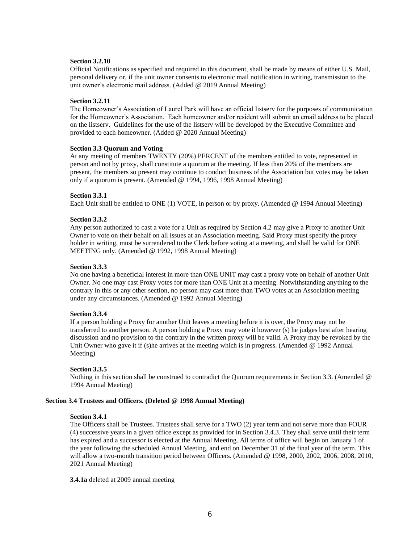## **Section 3.2.10**

Official Notifications as specified and required in this document, shall be made by means of either U.S. Mail, personal delivery or, if the unit owner consents to electronic mail notification in writing, transmission to the unit owner's electronic mail address. (Added @ 2019 Annual Meeting)

#### **Section 3.2.11**

The Homeowner's Association of Laurel Park will have an official listserv for the purposes of communication for the Homeowner's Association. Each homeowner and/or resident will submit an email address to be placed on the listserv. Guidelines for the use of the listserv will be developed by the Executive Committee and provided to each homeowner. (Added @ 2020 Annual Meeting)

## **Section 3.3 Quorum and Voting**

At any meeting of members TWENTY (20%) PERCENT of the members entitled to vote, represented in person and not by proxy, shall constitute a quorum at the meeting. If less than 20% of the members are present, the members so present may continue to conduct business of the Association but votes may be taken only if a quorum is present. (Amended @ 1994, 1996, 1998 Annual Meeting)

## **Section 3.3.1**

Each Unit shall be entitled to ONE (1) VOTE, in person or by proxy. (Amended @ 1994 Annual Meeting)

#### **Section 3.3.2**

Any person authorized to cast a vote for a Unit as required by Section 4.2 may give a Proxy to another Unit Owner to vote on their behalf on all issues at an Association meeting. Said Proxy must specify the proxy holder in writing, must be surrendered to the Clerk before voting at a meeting, and shall be valid for ONE MEETING only. (Amended @ 1992, 1998 Annual Meeting)

#### **Section 3.3.3**

No one having a beneficial interest in more than ONE UNIT may cast a proxy vote on behalf of another Unit Owner. No one may cast Proxy votes for more than ONE Unit at a meeting. Notwithstanding anything to the contrary in this or any other section, no person may cast more than TWO votes at an Association meeting under any circumstances. (Amended @ 1992 Annual Meeting)

#### **Section 3.3.4**

If a person holding a Proxy for another Unit leaves a meeting before it is over, the Proxy may not be transferred to another person. A person holding a Proxy may vote it however (s) he judges best after hearing discussion and no provision to the contrary in the written proxy will be valid. A Proxy may be revoked by the Unit Owner who gave it if (s)he arrives at the meeting which is in progress. (Amended @ 1992 Annual Meeting)

#### **Section 3.3.5**

Nothing in this section shall be construed to contradict the Quorum requirements in Section 3.3. (Amended @ 1994 Annual Meeting)

## **Section 3.4 Trustees and Officers. (Deleted @ 1998 Annual Meeting)**

#### **Section 3.4.1**

The Officers shall be Trustees. Trustees shall serve for a TWO (2) year term and not serve more than FOUR (4) successive years in a given office except as provided for in Section 3.4.3. They shall serve until their term has expired and a successor is elected at the Annual Meeting. All terms of office will begin on January 1 of the year following the scheduled Annual Meeting, and end on December 31 of the final year of the term. This will allow a two-month transition period between Officers. (Amended @ 1998, 2000, 2002, 2006, 2008, 2010, 2021 Annual Meeting)

**3.4.1a** deleted at 2009 annual meeting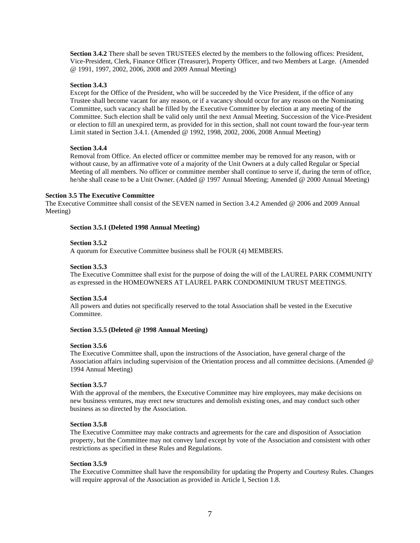**Section 3.4.2** There shall be seven TRUSTEES elected by the members to the following offices: President, Vice-President, Clerk, Finance Officer (Treasurer), Property Officer, and two Members at Large. (Amended @ 1991, 1997, 2002, 2006, 2008 and 2009 Annual Meeting)

# **Section 3.4.3**

Except for the Office of the President, who will be succeeded by the Vice President, if the office of any Trustee shall become vacant for any reason, or if a vacancy should occur for any reason on the Nominating Committee, such vacancy shall be filled by the Executive Committee by election at any meeting of the Committee. Such election shall be valid only until the next Annual Meeting. Succession of the Vice-President or election to fill an unexpired term, as provided for in this section, shall not count toward the four**-**year term Limit stated in Section 3.4.1. (Amended @ 1992, 1998, 2002, 2006, 2008 Annual Meeting)

# **Section 3.4.4**

Removal from Office. An elected officer or committee member may be removed for any reason, with or without cause, by an affirmative vote of a majority of the Unit Owners at a duly called Regular or Special Meeting of all members. No officer or committee member shall continue to serve if, during the term of office, he/she shall cease to be a Unit Owner. (Added @ 1997 Annual Meeting; Amended @ 2000 Annual Meeting)

## **Section 3.5 The Executive Committee**

The Executive Committee shall consist of the SEVEN named in Section 3.4.2 Amended @ 2006 and 2009 Annual Meeting)

# **Section 3.5.1 (Deleted 1998 Annual Meeting)**

# **Section 3.5.2**

A quorum for Executive Committee business shall be FOUR (4) MEMBERS.

# **Section 3.5.3**

The Executive Committee shall exist for the purpose of doing the will of the LAUREL PARK COMMUNITY as expressed in the HOMEOWNERS AT LAUREL PARK CONDOMINIUM TRUST MEETINGS.

# **Section 3.5.4**

All powers and duties not specifically reserved to the total Association shall be vested in the Executive Committee.

## **Section 3.5.5 (Deleted @ 1998 Annual Meeting)**

## **Section 3.5.6**

The Executive Committee shall, upon the instructions of the Association, have general charge of the Association affairs including supervision of the Orientation process and all committee decisions. (Amended @ 1994 Annual Meeting)

# **Section 3.5.7**

With the approval of the members, the Executive Committee may hire employees, may make decisions on new business ventures, may erect new structures and demolish existing ones, and may conduct such other business as so directed by the Association.

## **Section 3.5.8**

The Executive Committee may make contracts and agreements for the care and disposition of Association property, but the Committee may not convey land except by vote of the Association and consistent with other restrictions as specified in these Rules and Regulations.

## **Section 3.5.9**

The Executive Committee shall have the responsibility for updating the Property and Courtesy Rules. Changes will require approval of the Association as provided in Article I, Section 1.8.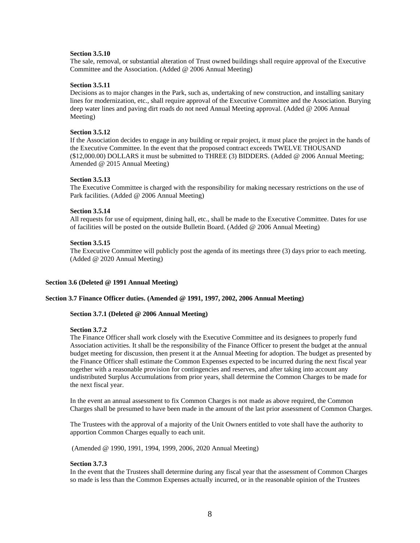## **Section 3.5.10**

The sale, removal, or substantial alteration of Trust owned buildings shall require approval of the Executive Committee and the Association. (Added @ 2006 Annual Meeting)

#### **Section 3.5.11**

Decisions as to major changes in the Park, such as, undertaking of new construction, and installing sanitary lines for modernization, etc., shall require approval of the Executive Committee and the Association. Burying deep water lines and paving dirt roads do not need Annual Meeting approval. (Added @ 2006 Annual Meeting)

#### **Section 3.5.12**

If the Association decides to engage in any building or repair project, it must place the project in the hands of the Executive Committee. In the event that the proposed contract exceeds TWELVE THOUSAND (\$12,000.00) DOLLARS it must be submitted to THREE (3) BIDDERS. (Added @ 2006 Annual Meeting; Amended @ 2015 Annual Meeting)

#### **Section 3.5.13**

The Executive Committee is charged with the responsibility for making necessary restrictions on the use of Park facilities. (Added @ 2006 Annual Meeting)

#### **Section 3.5.14**

All requests for use of equipment, dining hall, etc., shall be made to the Executive Committee. Dates for use of facilities will be posted on the outside Bulletin Board. (Added @ 2006 Annual Meeting)

#### **Section 3.5.15**

The Executive Committee will publicly post the agenda of its meetings three (3) days prior to each meeting. (Added @ 2020 Annual Meeting)

## **Section 3.6 (Deleted @ 1991 Annual Meeting)**

# **Section 3.7 Finance Officer duties. (Amended @ 1991, 1997, 2002, 2006 Annual Meeting)**

#### **Section 3.7.1 (Deleted @ 2006 Annual Meeting)**

#### **Section 3.7.2**

The Finance Officer shall work closely with the Executive Committee and its designees to properly fund Association activities. It shall be the responsibility of the Finance Officer to present the budget at the annual budget meeting for discussion, then present it at the Annual Meeting for adoption. The budget as presented by the Finance Officer shall estimate the Common Expenses expected to be incurred during the next fiscal year together with a reasonable provision for contingencies and reserves, and after taking into account any undistributed Surplus Accumulations from prior years, shall determine the Common Charges to be made for the next fiscal year.

In the event an annual assessment to fix Common Charges is not made as above required, the Common Charges shall be presumed to have been made in the amount of the last prior assessment of Common Charges.

The Trustees with the approval of a majority of the Unit Owners entitled to vote shall have the authority to apportion Common Charges equally to each unit.

(Amended @ 1990, 1991, 1994, 1999, 2006, 2020 Annual Meeting)

## **Section 3.7.3**

In the event that the Trustees shall determine during any fiscal year that the assessment of Common Charges so made is less than the Common Expenses actually incurred, or in the reasonable opinion of the Trustees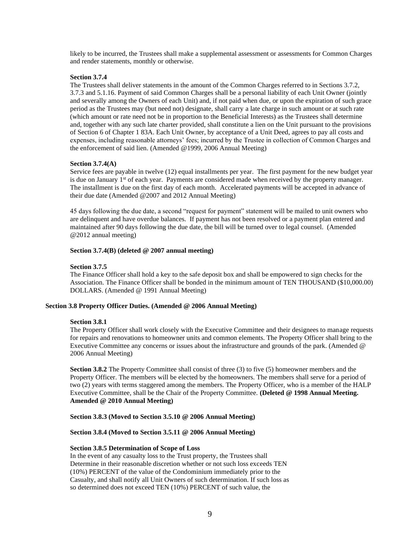likely to be incurred, the Trustees shall make a supplemental assessment or assessments for Common Charges and render statements, monthly or otherwise.

# **Section 3.7.4**

The Trustees shall deliver statements in the amount of the Common Charges referred to in Sections 3.7.2, 3.7.3 and 5.1.16. Payment of said Common Charges shall be a personal liability of each Unit Owner (jointly and severally among the Owners of each Unit) and, if not paid when due, or upon the expiration of such grace period as the Trustees may (but need not) designate, shall carry a late charge in such amount or at such rate (which amount or rate need not be in proportion to the Beneficial Interests) as the Trustees shall determine and, together with any such late charter provided, shall constitute a lien on the Unit pursuant to the provisions of Section 6 of Chapter 1 83A. Each Unit Owner, by acceptance of a Unit Deed, agrees to pay all costs and expenses, including reasonable attorneys' fees; incurred by the Trustee in collection of Common Charges and the enforcement of said lien. (Amended @1999, 2006 Annual Meeting)

## **Section 3.7.4(A)**

Service fees are payable in twelve (12) equal installments per year. The first payment for the new budget year is due on January  $1<sup>st</sup>$  of each year. Payments are considered made when received by the property manager. The installment is due on the first day of each month. Accelerated payments will be accepted in advance of their due date (Amended @2007 and 2012 Annual Meeting)

45 days following the due date, a second "request for payment" statement will be mailed to unit owners who are delinquent and have overdue balances. If payment has not been resolved or a payment plan entered and maintained after 90 days following the due date, the bill will be turned over to legal counsel. (Amended @2012 annual meeting)

# **Section 3.7.4(B) (deleted @ 2007 annual meeting)**

# **Section 3.7.5**

The Finance Officer shall hold a key to the safe deposit box and shall be empowered to sign checks for the Association. The Finance Officer shall be bonded in the minimum amount of TEN THOUSAND (\$10,000.00) DOLLARS. (Amended @ 1991 Annual Meeting)

# **Section 3.8 Property Officer Duties. (Amended @ 2006 Annual Meeting)**

## **Section 3.8.1**

The Property Officer shall work closely with the Executive Committee and their designees to manage requests for repairs and renovations to homeowner units and common elements. The Property Officer shall bring to the Executive Committee any concerns or issues about the infrastructure and grounds of the park. (Amended @ 2006 Annual Meeting)

**Section 3.8.2** The Property Committee shall consist of three (3) to five (5) homeowner members and the Property Officer. The members will be elected by the homeowners. The members shall serve for a period of two (2) years with terms staggered among the members. The Property Officer, who is a member of the HALP Executive Committee, shall be the Chair of the Property Committee. **(Deleted @ 1998 Annual Meeting. Amended @ 2010 Annual Meeting)** 

## **Section 3.8.3 (Moved to Section 3.5.10 @ 2006 Annual Meeting)**

## **Section 3.8.4 (Moved to Section 3.5.11 @ 2006 Annual Meeting)**

## **Section 3.8.5 Determination of Scope of Loss**

In the event of any casualty loss to the Trust property, the Trustees shall Determine in their reasonable discretion whether or not such loss exceeds TEN (10%) PERCENT of the value of the Condominium immediately prior to the Casualty, and shall notify all Unit Owners of such determination. If such loss as so determined does not exceed TEN (10%) PERCENT of such value, the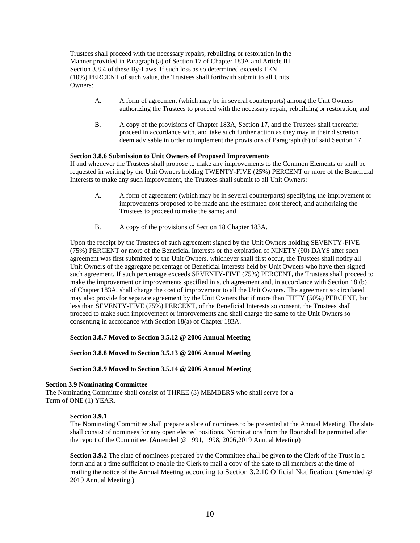Trustees shall proceed with the necessary repairs, rebuilding or restoration in the Manner provided in Paragraph (a) of Section 17 of Chapter 183A and Article III, Section 3.8.4 of these By-Laws. If such loss as so determined exceeds TEN (10%) PERCENT of such value, the Trustees shall forthwith submit to all Units Owners:

- A. A form of agreement (which may be in several counterparts) among the Unit Owners authorizing the Trustees to proceed with the necessary repair, rebuilding or restoration, and
- B. A copy of the provisions of Chapter 183A, Section 17, and the Trustees shall thereafter proceed in accordance with, and take such further action as they may in their discretion deem advisable in order to implement the provisions of Paragraph (b) of said Section 17.

# **Section 3.8.6 Submission to Unit Owners of Proposed Improvements**

If and whenever the Trustees shall propose to make any improvements to the Common Elements or shall be requested in writing by the Unit Owners holding TWENTY-FIVE (25%) PERCENT or more of the Beneficial Interests to make any such improvement, the Trustees shall submit to all Unit Owners:

- A. A form of agreement (which may be in several counterparts) specifying the improvement or improvements proposed to be made and the estimated cost thereof, and authorizing the Trustees to proceed to make the same; and
- B. A copy of the provisions of Section 18 Chapter 183A.

Upon the receipt by the Trustees of such agreement signed by the Unit Owners holding SEVENTY-FIVE (75%) PERCENT or more of the Beneficial Interests or the expiration of NINETY (90) DAYS after such agreement was first submitted to the Unit Owners, whichever shall first occur, the Trustees shall notify all Unit Owners of the aggregate percentage of Beneficial Interests held by Unit Owners who have then signed such agreement. If such percentage exceeds SEVENTY-FIVE (75%) PERCENT, the Trustees shall proceed to make the improvement or improvements specified in such agreement and, in accordance with Section 18 (b) of Chapter 183A, shall charge the cost of improvement to all the Unit Owners. The agreement so circulated may also provide for separate agreement by the Unit Owners that if more than FIFTY (50%) PERCENT, but less than SEVENTY-FIVE (75%) PERCENT, of the Beneficial Interests so consent, the Trustees shall proceed to make such improvement or improvements and shall charge the same to the Unit Owners so consenting in accordance with Section 18(a) of Chapter 183A.

## **Section 3.8.7 Moved to Section 3.5.12 @ 2006 Annual Meeting**

**Section 3.8.8 Moved to Section 3.5.13 @ 2006 Annual Meeting** 

**Section 3.8.9 Moved to Section 3.5.14 @ 2006 Annual Meeting** 

#### **Section 3.9 Nominating Committee**

The Nominating Committee shall consist of THREE (3) MEMBERS who shall serve for a Term of ONE (1) YEAR.

# **Section 3.9.1**

The Nominating Committee shall prepare a slate of nominees to be presented at the Annual Meeting. The slate shall consist of nominees for any open elected positions. Nominations from the floor shall be permitted after the report of the Committee. (Amended @ 1991, 1998, 2006,2019 Annual Meeting)

**Section 3.9.2** The slate of nominees prepared by the Committee shall be given to the Clerk of the Trust in a form and at a time sufficient to enable the Clerk to mail a copy of the slate to all members at the time of mailing the notice of the Annual Meeting according to Section 3.2.10 Official Notification. (Amended @ 2019 Annual Meeting.)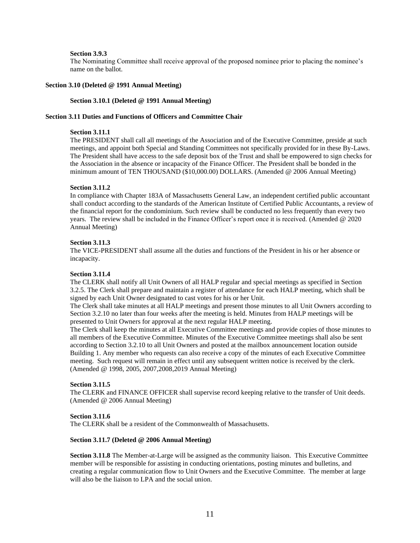#### **Section 3.9.3**

The Nominating Committee shall receive approval of the proposed nominee prior to placing the nominee's name on the ballot.

#### **Section 3.10 (Deleted @ 1991 Annual Meeting)**

#### **Section 3.10.1 (Deleted @ 1991 Annual Meeting)**

## **Section 3.11 Duties and Functions of Officers and Committee Chair**

#### **Section 3.11.1**

The PRESIDENT shall call all meetings of the Association and of the Executive Committee, preside at such meetings, and appoint both Special and Standing Committees not specifically provided for in these By-Laws. The President shall have access to the safe deposit box of the Trust and shall be empowered to sign checks for the Association in the absence or incapacity of the Finance Officer. The President shall be bonded in the minimum amount of TEN THOUSAND (\$10,000.00) DOLLARS. (Amended @ 2006 Annual Meeting)

#### **Section 3.11.2**

In compliance with Chapter 183A of Massachusetts General Law, an independent certified public accountant shall conduct according to the standards of the American Institute of Certified Public Accountants, a review of the financial report for the condominium. Such review shall be conducted no less frequently than every two years. The review shall be included in the Finance Officer's report once it is received. (Amended @ 2020 Annual Meeting)

#### **Section 3.11.3**

The VICE-PRESIDENT shall assume all the duties and functions of the President in his or her absence or incapacity.

#### **Section 3.11.4**

The CLERK shall notify all Unit Owners of all HALP regular and special meetings as specified in Section 3.2.5. The Clerk shall prepare and maintain a register of attendance for each HALP meeting, which shall be signed by each Unit Owner designated to cast votes for his or her Unit.

The Clerk shall take minutes at all HALP meetings and present those minutes to all Unit Owners according to Section 3.2.10 no later than four weeks after the meeting is held. Minutes from HALP meetings will be presented to Unit Owners for approval at the next regular HALP meeting.

The Clerk shall keep the minutes at all Executive Committee meetings and provide copies of those minutes to all members of the Executive Committee. Minutes of the Executive Committee meetings shall also be sent according to Section 3.2.10 to all Unit Owners and posted at the mailbox announcement location outside Building 1. Any member who requests can also receive a copy of the minutes of each Executive Committee meeting. Such request will remain in effect until any subsequent written notice is received by the clerk. (Amended @ 1998, 2005, 2007,2008,2019 Annual Meeting)

# **Section 3.11.5**

The CLERK and FINANCE OFFICER shall supervise record keeping relative to the transfer of Unit deeds. (Amended @ 2006 Annual Meeting)

## **Section 3.11.6**

The CLERK shall be a resident of the Commonwealth of Massachusetts.

## **Section 3.11.7 (Deleted @ 2006 Annual Meeting)**

**Section 3.11.8** The Member-at-Large will be assigned as the community liaison. This Executive Committee member will be responsible for assisting in conducting orientations, posting minutes and bulletins, and creating a regular communication flow to Unit Owners and the Executive Committee. The member at large will also be the liaison to LPA and the social union.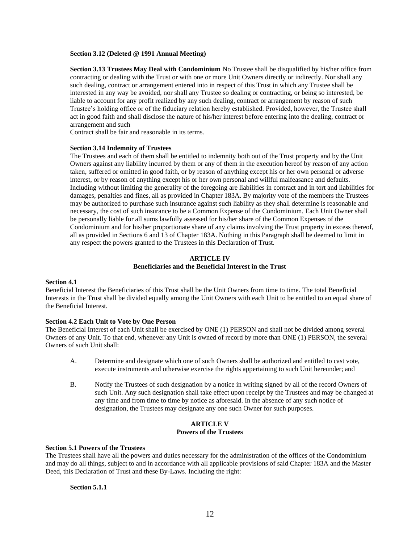#### **Section 3.12 (Deleted @ 1991 Annual Meeting)**

**Section 3.13 Trustees May Deal with Condominium** No Trustee shall be disqualified by his/her office from contracting or dealing with the Trust or with one or more Unit Owners directly or indirectly. Nor shall any such dealing, contract or arrangement entered into in respect of this Trust in which any Trustee shall be interested in any way be avoided, nor shall any Trustee so dealing or contracting, or being so interested, be liable to account for any profit realized by any such dealing, contract or arrangement by reason of such Trustee's holding office or of the fiduciary relation hereby established. Provided, however, the Trustee shall act in good faith and shall disclose the nature of his/her interest before entering into the dealing, contract or arrangement and such

Contract shall be fair and reasonable in its terms.

#### **Section 3.14 Indemnity of Trustees**

The Trustees and each of them shall be entitled to indemnity both out of the Trust property and by the Unit Owners against any liability incurred by them or any of them in the execution hereof by reason of any action taken, suffered or omitted in good faith, or by reason of anything except his or her own personal or adverse interest, or by reason of anything except his or her own personal and willful malfeasance and defaults. Including without limiting the generality of the foregoing are liabilities in contract and in tort and liabilities for damages, penalties and fines, all as provided in Chapter 183A. By majority vote of the members the Trustees may be authorized to purchase such insurance against such liability as they shall determine is reasonable and necessary, the cost of such insurance to be a Common Expense of the Condominium. Each Unit Owner shall be personally liable for all sums lawfully assessed for his/her share of the Common Expenses of the Condominium and for his/her proportionate share of any claims involving the Trust property in excess thereof, all as provided in Sections 6 and 13 of Chapter 183A. Nothing in this Paragraph shall be deemed to limit in any respect the powers granted to the Trustees in this Declaration of Trust.

# **ARTICLE IV Beneficiaries and the Beneficial Interest in the Trust**

## **Section 4.1**

Beneficial Interest the Beneficiaries of this Trust shall be the Unit Owners from time to time. The total Beneficial Interests in the Trust shall be divided equally among the Unit Owners with each Unit to be entitled to an equal share of the Beneficial Interest.

## **Section 4.2 Each Unit to Vote by One Person**

The Beneficial Interest of each Unit shall be exercised by ONE (1) PERSON and shall not be divided among several Owners of any Unit. To that end, whenever any Unit is owned of record by more than ONE (1) PERSON, the several Owners of such Unit shall:

- A. Determine and designate which one of such Owners shall be authorized and entitled to cast vote, execute instruments and otherwise exercise the rights appertaining to such Unit hereunder; and
- B. Notify the Trustees of such designation by a notice in writing signed by all of the record Owners of such Unit. Any such designation shall take effect upon receipt by the Trustees and may be changed at any time and from time to time by notice as aforesaid. In the absence of any such notice of designation, the Trustees may designate any one such Owner for such purposes.

# **ARTICLE V Powers of the Trustees**

## **Section 5.1 Powers of the Trustees**

The Trustees shall have all the powers and duties necessary for the administration of the offices of the Condominium and may do all things, subject to and in accordance with all applicable provisions of said Chapter 183A and the Master Deed, this Declaration of Trust and these By-Laws. Including the right:

## **Section 5.1.1**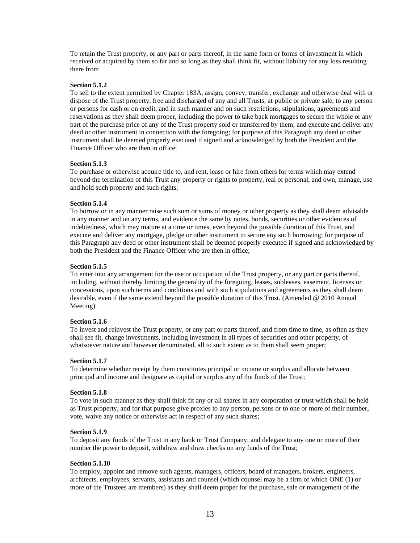To retain the Trust property, or any part or parts thereof, in the same form or forms of investment in which received or acquired by them so far and so long as they shall think fit, without liability for any loss resulting there from

# **Section 5.1.2**

To sell to the extent permitted by Chapter 183A, assign, convey, transfer, exchange and otherwise deal with or dispose of the Trust property, free and discharged of any and all Trusts, at public or private sale, to any person or persons for cash or on credit, and in such manner and on such restrictions, stipulations, agreements and reservations as they shall deem proper, including the power to take back mortgages to secure the whole or any part of the purchase price of any of the Trust property sold or transferred by them, and execute and deliver any deed or other instrument in connection with the foregoing; for purpose of this Paragraph any deed or other instrument shall be deemed properly executed if signed and acknowledged by both the President and the Finance Officer who are then in office;

## **Section 5.1.3**

To purchase or otherwise acquire title to, and rent, lease or hire from others for terms which may extend beyond the termination of this Trust any property or rights to property, real or personal, and own, manage, use and hold such property and such rights;

# **Section 5.1.4**

To borrow or in any manner raise such sum or sums of money or other property as they shall deem advisable in any manner and on any terms, and evidence the same by notes, bonds, securities or other evidences of indebtedness, which may mature at a time or times, even beyond the possible duration of this Trust, and execute and deliver any mortgage, pledge or other instrument to secure any such borrowing; for purpose of this Paragraph any deed or other instrument shall be deemed properly executed if signed and acknowledged by both the President and the Finance Officer who are then in office;

# **Section 5.1.5**

To enter into any arrangement for the use or occupation of the Trust property, or any part or parts thereof, including, without thereby limiting the generality of the foregoing, leases, subleases, easement, licenses or concessions, upon such terms and conditions and with such stipulations and agreements as they shall deem desirable, even if the same extend beyond the possible duration of this Trust. (Amended @ 2010 Annual Meeting)

## **Section 5.1.6**

To invest and reinvest the Trust property, or any part or parts thereof, and from time to time, as often as they shall see fit, change investments, including investment in all types of securities and other property, of whatsoever nature and however denominated, all to such extent as to them shall seem proper;

## **Section 5.1.7**

To determine whether receipt by them constitutes principal or income or surplus and allocate between principal and income and designate as capital or surplus any of the funds of the Trust;

## **Section 5.1.8**

To vote in such manner as they shall think fit any or all shares in any corporation or trust which shall be held as Trust property, and for that purpose give proxies to any person, persons or to one or more of their number, vote, waive any notice or otherwise act in respect of any such shares;

## **Section 5.1.9**

To deposit any funds of the Trust in any bank or Trust Company, and delegate to any one or more of their number the power to deposit, withdraw and draw checks on any funds of the Trust;

# **Section 5.1.10**

To employ, appoint and remove such agents, managers, officers, board of managers, brokers, engineers, architects, employees, servants, assistants and counsel (which counsel may be a firm of which ONE (1) or more of the Trustees are members) as they shall deem proper for the purchase, sale or management of the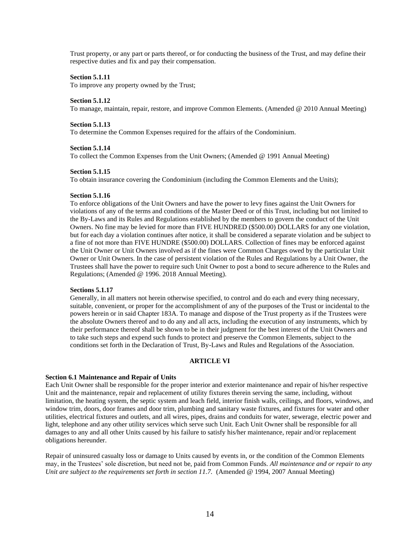Trust property, or any part or parts thereof, or for conducting the business of the Trust, and may define their respective duties and fix and pay their compensation.

#### **Section 5.1.11**

To improve any property owned by the Trust;

#### **Section 5.1.12**

To manage, maintain, repair, restore, and improve Common Elements. (Amended @ 2010 Annual Meeting)

#### **Section 5.1.13**

To determine the Common Expenses required for the affairs of the Condominium.

#### **Section 5.1.14**

To collect the Common Expenses from the Unit Owners; (Amended @ 1991 Annual Meeting)

#### **Section 5.1.15**

To obtain insurance covering the Condominium (including the Common Elements and the Units);

## **Section 5.1.16**

To enforce obligations of the Unit Owners and have the power to levy fines against the Unit Owners for violations of any of the terms and conditions of the Master Deed or of this Trust, including but not limited to the By-Laws and its Rules and Regulations established by the members to govern the conduct of the Unit Owners. No fine may be levied for more than FIVE HUNDRED (\$500.00) DOLLARS for any one violation, but for each day a violation continues after notice, it shall be considered a separate violation and be subject to a fine of not more than FIVE HUNDRE (\$500.00) DOLLARS. Collection of fines may be enforced against the Unit Owner or Unit Owners involved as if the fines were Common Charges owed by the particular Unit Owner or Unit Owners. In the case of persistent violation of the Rules and Regulations by a Unit Owner, the Trustees shall have the power to require such Unit Owner to post a bond to secure adherence to the Rules and Regulations; (Amended @ 1996. 2018 Annual Meeting).

# **Sections 5.1.17**

Generally, in all matters not herein otherwise specified, to control and do each and every thing necessary, suitable, convenient, or proper for the accomplishment of any of the purposes of the Trust or incidental to the powers herein or in said Chapter 183A. To manage and dispose of the Trust property as if the Trustees were the absolute Owners thereof and to do any and all acts, including the execution of any instruments, which by their performance thereof shall be shown to be in their judgment for the best interest of the Unit Owners and to take such steps and expend such funds to protect and preserve the Common Elements, subject to the conditions set forth in the Declaration of Trust, By-Laws and Rules and Regulations of the Association.

# **ARTICLE VI**

## **Section 6.1 Maintenance and Repair of Units**

Each Unit Owner shall be responsible for the proper interior and exterior maintenance and repair of his/her respective Unit and the maintenance, repair and replacement of utility fixtures therein serving the same, including, without limitation, the heating system, the septic system and leach field, interior finish walls, ceilings, and floors, windows, and window trim, doors, door frames and door trim, plumbing and sanitary waste fixtures, and fixtures for water and other utilities, electrical fixtures and outlets, and all wires, pipes, drains and conduits for water, sewerage, electric power and light, telephone and any other utility services which serve such Unit. Each Unit Owner shall be responsible for all damages to any and all other Units caused by his failure to satisfy his/her maintenance, repair and/or replacement obligations hereunder.

Repair of uninsured casualty loss or damage to Units caused by events in, or the condition of the Common Elements may, in the Trustees' sole discretion, but need not be, paid from Common Funds. *All maintenance and or repair to any Unit are subject to the requirements set forth in section 11.7.* (Amended @ 1994, 2007 Annual Meeting)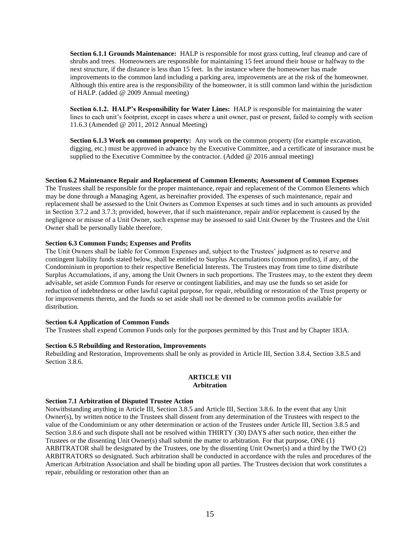**Section 6.1.1 Grounds Maintenance:** HALP is responsible for most grass cutting, leaf cleanup and care of shrubs and trees. Homeowners are responsible for maintaining 15 feet around their house or halfway to the next structure, if the distance is less than 15 feet. In the instance where the homeowner has made improvements to the common land including a parking area, improvements are at the risk of the homeowner. Although this entire area is the responsibility of the homeowner, it is still common land within the jurisdiction of HALP. (added @ 2009 Annual meeting)

**Section 6.1.2. HALP's Responsibility for Water Lines:** HALP is responsible for maintaining the water lines to each unit's footprint, except in cases where a unit owner, past or present, failed to comply with section 11.6.3 (Amended @ 2011, 2012 Annual Meeting)

**Section 6.1.3 Work on common property:** Any work on the common property (for example excavation, digging, etc.) must be approved in advance by the Executive Committee, and a certificate of insurance must be supplied to the Executive Committee by the contractor. (Added @ 2016 annual meeting)

#### **Section 6.2 Maintenance Repair and Replacement of Common Elements; Assessment of Common Expenses**

The Trustees shall be responsible for the proper maintenance, repair and replacement of the Common Elements which may be done through a Managing Agent, as hereinafter provided. The expenses of such maintenance, repair and replacement shall be assessed to the Unit Owners as Common Expenses at such times and in such amounts as provided in Section 3.7.2 and 3.7.3; provided, however, that if such maintenance, repair and/or replacement is caused by the negligence or misuse of a Unit Owner, such expense may be assessed to said Unit Owner by the Trustees and the Unit Owner shall be personally liable therefore.

## **Section 6.3 Common Funds; Expenses and Profits**

The Unit Owners shall be liable for Common Expenses and, subject to the Trustees' judgment as to reserve and contingent liability funds stated below, shall be entitled to Surplus Accumulations (common profits), if any, of the Condominium in proportion to their respective Beneficial Interests. The Trustees may from time to time distribute Surplus Accumulations, if any, among the Unit Owners in such proportions. The Trustees may, to the extent they deem advisable, set aside Common Funds for reserve or contingent liabilities, and may use the funds so set aside for reduction of indebtedness or other lawful capital purpose, for repair, rebuilding or restoration of the Trust property or for improvements thereto, and the funds so set aside shall not be deemed to be common profits available for distribution.

# **Section 6.4 Application of Common Funds**

The Trustees shall expend Common Funds only for the purposes permitted by this Trust and by Chapter 183A.

#### **Section 6.5 Rebuilding and Restoration, Improvements**

Rebuilding and Restoration, Improvements shall be only as provided in Article III, Section 3.8.4, Section 3.8.5 and Section 3.8.6.

## **ARTICLE VII Arbitration**

#### **Section 7.1 Arbitration of Disputed Trustee Action**

Notwithstanding anything in Article III, Section 3.8.5 and Article III, Section 3.8.6. In the event that any Unit Owner(s), by written notice to the Trustees shall dissent from any determination of the Trustees with respect to the value of the Condominium or any other determination or action of the Trustees under Article III, Section 3.8.5 and Section 3.8.6 and such dispute shall not be resolved within THIRTY (30) DAYS after such notice, then either the Trustees or the dissenting Unit Owner(s) shall submit the matter to arbitration. For that purpose, ONE (1) ARBITRATOR shall be designated by the Trustees, one by the dissenting Unit Owner(s) and a third by the TWO (2) ARBITRATORS so designated. Such arbitration shall be conducted in accordance with the rules and procedures of the American Arbitration Association and shall be binding upon all parties. The Trustees decision that work constitutes a repair, rebuilding or restoration other than an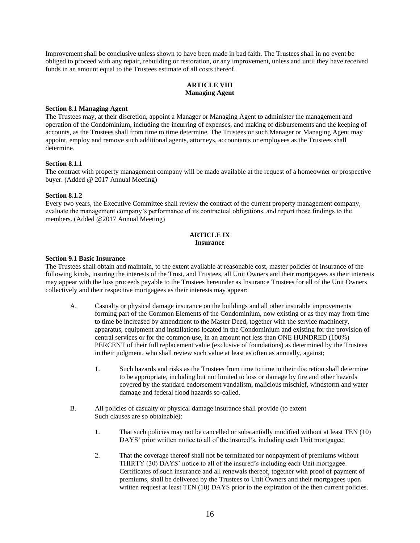Improvement shall be conclusive unless shown to have been made in bad faith. The Trustees shall in no event be obliged to proceed with any repair, rebuilding or restoration, or any improvement, unless and until they have received funds in an amount equal to the Trustees estimate of all costs thereof.

# **ARTICLE VIII Managing Agent**

# **Section 8.1 Managing Agent**

The Trustees may, at their discretion, appoint a Manager or Managing Agent to administer the management and operation of the Condominium, including the incurring of expenses, and making of disbursements and the keeping of accounts, as the Trustees shall from time to time determine. The Trustees or such Manager or Managing Agent may appoint, employ and remove such additional agents, attorneys, accountants or employees as the Trustees shall determine.

# **Section 8.1.1**

The contract with property management company will be made available at the request of a homeowner or prospective buyer. (Added @ 2017 Annual Meeting)

#### **Section 8.1.2**

Every two years, the Executive Committee shall review the contract of the current property management company, evaluate the management company's performance of its contractual obligations, and report those findings to the members. (Added @2017 Annual Meeting)

# **ARTICLE IX Insurance**

#### **Section 9.1 Basic Insurance**

The Trustees shall obtain and maintain, to the extent available at reasonable cost, master policies of insurance of the following kinds, insuring the interests of the Trust, and Trustees, all Unit Owners and their mortgagees as their interests may appear with the loss proceeds payable to the Trustees hereunder as Insurance Trustees for all of the Unit Owners collectively and their respective mortgagees as their interests may appear:

- A. Casualty or physical damage insurance on the buildings and all other insurable improvements forming part of the Common Elements of the Condominium, now existing or as they may from time to time be increased by amendment to the Master Deed, together with the service machinery, apparatus, equipment and installations located in the Condominium and existing for the provision of central services or for the common use, in an amount not less than ONE HUNDRED (100%) PERCENT of their full replacement value (exclusive of foundations) as determined by the Trustees in their judgment, who shall review such value at least as often as annually, against;
	- 1. Such hazards and risks as the Trustees from time to time in their discretion shall determine to be appropriate, including but not limited to loss or damage by fire and other hazards covered by the standard endorsement vandalism, malicious mischief, windstorm and water damage and federal flood hazards so-called.
- B. All policies of casualty or physical damage insurance shall provide (to extent Such clauses are so obtainable):
	- 1. That such policies may not be cancelled or substantially modified without at least TEN (10) DAYS' prior written notice to all of the insured's, including each Unit mortgagee;
	- 2. That the coverage thereof shall not be terminated for nonpayment of premiums without THIRTY (30) DAYS' notice to all of the insured's including each Unit mortgagee. Certificates of such insurance and all renewals thereof, together with proof of payment of premiums, shall be delivered by the Trustees to Unit Owners and their mortgagees upon written request at least TEN (10) DAYS prior to the expiration of the then current policies.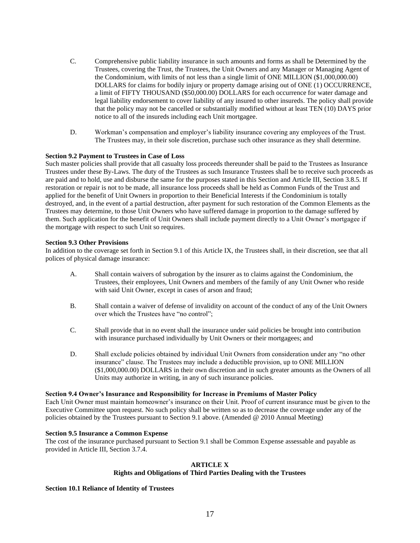- C. Comprehensive public liability insurance in such amounts and forms as shall be Determined by the Trustees, covering the Trust, the Trustees, the Unit Owners and any Manager or Managing Agent of the Condominium, with limits of not less than a single limit of ONE MILLION (\$1,000,000.00) DOLLARS for claims for bodily injury or property damage arising out of ONE (1) OCCURRENCE, a limit of FIFTY THOUSAND (\$50,000.00) DOLLARS for each occurrence for water damage and legal liability endorsement to cover liability of any insured to other insureds. The policy shall provide that the policy may not be cancelled or substantially modified without at least TEN (10) DAYS prior notice to all of the insureds including each Unit mortgagee.
- D. Workman's compensation and employer's liability insurance covering any employees of the Trust. The Trustees may, in their sole discretion, purchase such other insurance as they shall determine.

# **Section 9.2 Payment to Trustees in Case of Loss**

Such master policies shall provide that all casualty loss proceeds thereunder shall be paid to the Trustees as Insurance Trustees under these By-Laws. The duty of the Trustees as such Insurance Trustees shall be to receive such proceeds as are paid and to hold, use and disburse the same for the purposes stated in this Section and Article III, Section 3.8.5. If restoration or repair is not to be made, all insurance loss proceeds shall be held as Common Funds of the Trust and applied for the benefit of Unit Owners in proportion to their Beneficial Interests if the Condominium is totally destroyed, and, in the event of a partial destruction, after payment for such restoration of the Common Elements as the Trustees may determine, to those Unit Owners who have suffered damage in proportion to the damage suffered by them. Such application for the benefit of Unit Owners shall include payment directly to a Unit Owner's mortgagee if the mortgage with respect to such Unit so requires.

## **Section 9.3 Other Provisions**

In addition to the coverage set forth in Section 9.1 of this Article IX, the Trustees shall, in their discretion, see that all polices of physical damage insurance:

- A. Shall contain waivers of subrogation by the insurer as to claims against the Condominium, the Trustees, their employees, Unit Owners and members of the family of any Unit Owner who reside with said Unit Owner, except in cases of arson and fraud;
- B. Shall contain a waiver of defense of invalidity on account of the conduct of any of the Unit Owners over which the Trustees have "no control";
- C. Shall provide that in no event shall the insurance under said policies be brought into contribution with insurance purchased individually by Unit Owners or their mortgagees; and
- D. Shall exclude policies obtained by individual Unit Owners from consideration under any "no other insurance" clause. The Trustees may include a deductible provision, up to ONE MILLION (\$1,000,000.00) DOLLARS in their own discretion and in such greater amounts as the Owners of all Units may authorize in writing, in any of such insurance policies.

## **Section 9.4 Owner's Insurance and Responsibility for Increase in Premiums of Master Policy**

Each Unit Owner must maintain homeowner's insurance on their Unit. Proof of current insurance must be given to the Executive Committee upon request. No such policy shall be written so as to decrease the coverage under any of the policies obtained by the Trustees pursuant to Section 9.1 above. (Amended @ 2010 Annual Meeting)

# **Section 9.5 Insurance a Common Expense**

The cost of the insurance purchased pursuant to Section 9.1 shall be Common Expense assessable and payable as provided in Article III, Section 3.7.4.

## **ARTICLE X Rights and Obligations of Third Parties Dealing with the Trustees**

## **Section 10.1 Reliance of Identity of Trustees**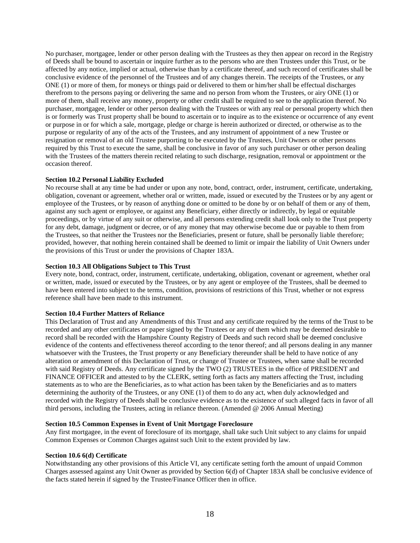No purchaser, mortgagee, lender or other person dealing with the Trustees as they then appear on record in the Registry of Deeds shall be bound to ascertain or inquire further as to the persons who are then Trustees under this Trust, or be affected by any notice, implied or actual, otherwise than by a certificate thereof, and such record of certificates shall be conclusive evidence of the personnel of the Trustees and of any changes therein. The receipts of the Trustees, or any ONE (1) or more of them, for moneys or things paid or delivered to them or him/her shall be effectual discharges therefrom to the persons paying or delivering the same and no person from whom the Trustees, or airy ONE (1) or more of them, shall receive any money, property or other credit shall be required to see to the application thereof. No purchaser, mortgagee, lender or other person dealing with the Trustees or with any real or personal property which then is or formerly was Trust property shall be bound to ascertain or to inquire as to the existence or occurrence of any event or purpose in or for which a sale, mortgage, pledge or charge is herein authorized or directed, or otherwise as to the purpose or regularity of any of the acts of the Trustees, and any instrument of appointment of a new Trustee or resignation or removal of an old Trustee purporting to be executed by the Trustees, Unit Owners or other persons required by this Trust to execute the same, shall be conclusive in favor of any such purchaser or other person dealing with the Trustees of the matters therein recited relating to such discharge, resignation, removal or appointment or the occasion thereof.

## **Section 10.2 Personal Liability Excluded**

No recourse shall at any time be had under or upon any note, bond, contract, order, instrument, certificate, undertaking, obligation, covenant or agreement, whether oral or written, made, issued or executed by the Trustees or by any agent or employee of the Trustees, or by reason of anything done or omitted to be done by or on behalf of them or any of them, against any such agent or employee, or against any Beneficiary, either directly or indirectly, by legal or equitable proceedings, or by virtue of any suit or otherwise, and all persons extending credit shall look only to the Trust property for any debt, damage, judgment or decree, or of any money that may otherwise become due or payable to them from the Trustees, so that neither the Trustees nor the Beneficiaries, present or future, shall be personally liable therefore; provided, however, that nothing herein contained shall be deemed to limit or impair the liability of Unit Owners under the provisions of this Trust or under the provisions of Chapter 183A.

# **Section 10.3 All Obligations Subject to This Trust**

Every note, bond, contract, order, instrument, certificate, undertaking, obligation, covenant or agreement, whether oral or written, made, issued or executed by the Trustees, or by any agent or employee of the Trustees, shall be deemed to have been entered into subject to the terms, condition, provisions of restrictions of this Trust, whether or not express reference shall have been made to this instrument.

# **Section 10.4 Further Matters of Reliance**

This Declaration of Trust and any Amendments of this Trust and any certificate required by the terms of the Trust to be recorded and any other certificates or paper signed by the Trustees or any of them which may be deemed desirable to record shall be recorded with the Hampshire County Registry of Deeds and such record shall be deemed conclusive evidence of the contents and effectiveness thereof according to the tenor thereof; and all persons dealing in any manner whatsoever with the Trustees, the Trust property or any Beneficiary thereunder shall be held to have notice of any alteration or amendment of this Declaration of Trust, or change of Trustee or Trustees, when same shall be recorded with said Registry of Deeds. Any certificate signed by the TWO (2) TRUSTEES in the office of PRESIDENT and FINANCE OFFICER and attested to by the CLERK, setting forth as facts any matters affecting the Trust, including statements as to who are the Beneficiaries, as to what action has been taken by the Beneficiaries and as to matters determining the authority of the Trustees, or any ONE (1) of them to do any act, when duly acknowledged and recorded with the Registry of Deeds shall be conclusive evidence as to the existence of such alleged facts in favor of all third persons, including the Trustees, acting in reliance thereon. (Amended @ 2006 Annual Meeting)

# **Section 10.5 Common Expenses in Event of Unit Mortgage Foreclosure**

Any first mortgagee, in the event of foreclosure of its mortgage, shall take such Unit subject to any claims for unpaid Common Expenses or Common Charges against such Unit to the extent provided by law.

## **Section 10.6 6(d) Certificate**

Notwithstanding any other provisions of this Article VI, any certificate setting forth the amount of unpaid Common Charges assessed against any Unit Owner as provided by Section 6(d) of Chapter 183A shall be conclusive evidence of the facts stated herein if signed by the Trustee/Finance Officer then in office.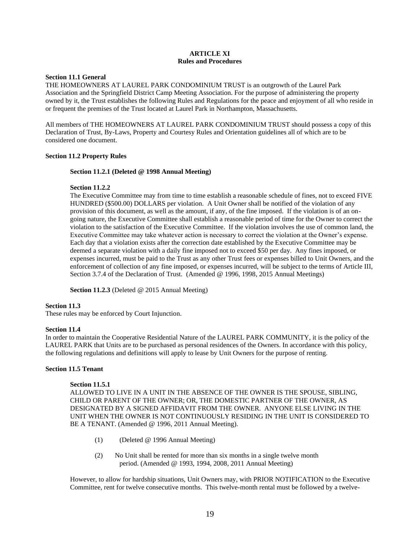# **ARTICLE XI Rules and Procedures**

# **Section 11.1 General**

THE HOMEOWNERS AT LAUREL PARK CONDOMINIUM TRUST is an outgrowth of the Laurel Park Association and the Springfield District Camp Meeting Association. For the purpose of administering the property owned by it, the Trust establishes the following Rules and Regulations for the peace and enjoyment of all who reside in or frequent the premises of the Trust located at Laurel Park in Northampton, Massachusetts.

All members of THE HOMEOWNERS AT LAUREL PARK CONDOMINIUM TRUST should possess a copy of this Declaration of Trust, By-Laws, Property and Courtesy Rules and Orientation guidelines all of which are to be considered one document.

# **Section 11.2 Property Rules**

# **Section 11.2.1 (Deleted @ 1998 Annual Meeting)**

# **Section 11.2.2**

The Executive Committee may from time to time establish a reasonable schedule of fines, not to exceed FIVE HUNDRED (\$500.00) DOLLARS per violation. A Unit Owner shall be notified of the violation of any provision of this document, as well as the amount, if any, of the fine imposed. If the violation is of an ongoing nature, the Executive Committee shall establish a reasonable period of time for the Owner to correct the violation to the satisfaction of the Executive Committee. If the violation involves the use of common land, the Executive Committee may take whatever action is necessary to correct the violation at the Owner's expense. Each day that a violation exists after the correction date established by the Executive Committee may be deemed a separate violation with a daily fine imposed not to exceed \$50 per day. Any fines imposed, or expenses incurred, must be paid to the Trust as any other Trust fees or expenses billed to Unit Owners, and the enforcement of collection of any fine imposed, or expenses incurred, will be subject to the terms of Article III, Section 3.7.4 of the Declaration of Trust. (Amended @ 1996, 1998, 2015 Annual Meetings)

Section 11.2.3 (Deleted @ 2015 Annual Meeting)

# **Section 11.3**

These rules may be enforced by Court Injunction.

## **Section 11.4**

In order to maintain the Cooperative Residential Nature of the LAUREL PARK COMMUNITY, it is the policy of the LAUREL PARK that Units are to be purchased as personal residences of the Owners. In accordance with this policy, the following regulations and definitions will apply to lease by Unit Owners for the purpose of renting.

# **Section 11.5 Tenant**

# **Section 11.5.1**

ALLOWED TO LIVE IN A UNIT IN THE ABSENCE OF THE OWNER IS THE SPOUSE, SIBLING, CHILD OR PARENT OF THE OWNER; OR, THE DOMESTIC PARTNER OF THE OWNER, AS DESIGNATED BY A SIGNED AFFIDAVIT FROM THE OWNER. ANYONE ELSE LIVING IN THE UNIT WHEN THE OWNER IS NOT CONTINUOUSLY RESIDING IN THE UNIT IS CONSIDERED TO BE A TENANT. (Amended @ 1996, 2011 Annual Meeting).

- (1) (Deleted @ 1996 Annual Meeting)
- (2) No Unit shall be rented for more than six months in a single twelve month period. (Amended @ 1993, 1994, 2008, 2011 Annual Meeting)

However, to allow for hardship situations, Unit Owners may, with PRIOR NOTIFICATION to the Executive Committee, rent for twelve consecutive months. This twelve-month rental must be followed by a twelve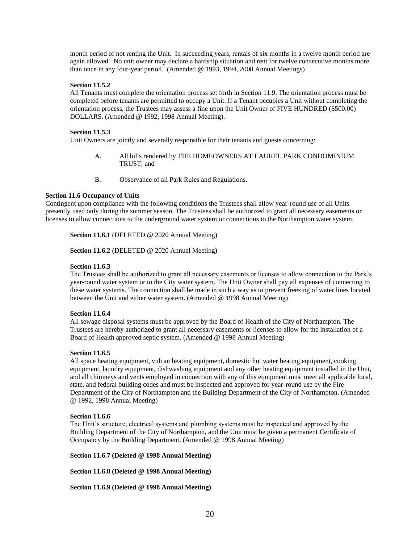month period of not renting the Unit. In succeeding years, rentals of six months in a twelve month period are again allowed. No unit owner may declare a hardship situation and rent for twelve consecutive months more than once in any four-year period. (Amended @ 1993, 1994, 2008 Annual Meetings)

# **Section 11.5.2**

All Tenants must complete the orientation process set forth in Section 11.9. The orientation process must be completed before tenants are permitted to occupy a Unit. If a Tenant occupies a Unit without completing the orientation process, the Trustees may assess a fine upon the Unit Owner of FIVE HUNDRED (\$500.00) DOLLARS. (Amended @ 1992, 1998 Annual Meeting).

#### **Section 11.5.3**

Unit Owners are jointly and severally responsible for their tenants and guests concerning:

- A. All bills rendered by THE HOMEOWNERS AT LAUREL PARK CONDOMINIUM TRUST; and
- B. Observance of all Park Rules and Regulations.

## **Section 11.6 Occupancy of Units**

Contingent upon compliance with the following conditions the Trustees shall allow year-round use of all Units presently used only during the summer season. The Trustees shall be authorized to grant all necessary easements or licenses to allow connections to the underground water system or connections to the Northampton water system.

**Section 11.6.1** (DELETED @ 2020 Annual Meeting)

Section 11.6.2 (DELETED @ 2020 Annual Meeting)

## **Section 11.6.3**

The Trustees shall be authorized to grant all necessary easements or licenses to allow connection to the Park's year-round water system or to the City water system. The Unit Owner shall pay all expenses of connecting to these water systems. The connection shall be made in such a way as to prevent freezing of water lines located between the Unit and either water system. (Amended @ 1998 Annual Meeting)

#### **Section 11.6.4**

All sewage disposal systems must be approved by the Board of Health of the City of Northampton. The Trustees are hereby authorized to grant all necessary easements or licenses to allow for the installation of a Board of Health approved septic system. (Amended @ 1998 Annual Meeting)

#### **Section 11.6.5**

All space heating equipment, vulcan heating equipment, domestic hot water heating equipment, cooking equipment, laundry equipment, dishwashing equipment and any other heating equipment installed in the Unit, and all chimneys and vents employed in connection with any of this equipment must meet all applicable local, state, and federal building codes and must be inspected and approved for year-round use by the Fire Department of the City of Northampton and the Building Department of the City of Northampton. (Amended @ 1992, 1998 Annual Meeting)

#### **Section 11.6.6**

The Unit's structure, electrical systems and plumbing systems must be inspected and approved by the Building Department of the City of Northampton, and the Unit must be given a permanent Certificate of Occupancy by the Building Department. (Amended @ 1998 Annual Meeting)

**Section 11.6.7 (Deleted @ 1998 Annual Meeting)** 

**Section 11.6.8 (Deleted @ 1998 Annual Meeting)** 

**Section 11.6.9 (Deleted @ 1998 Annual Meeting)**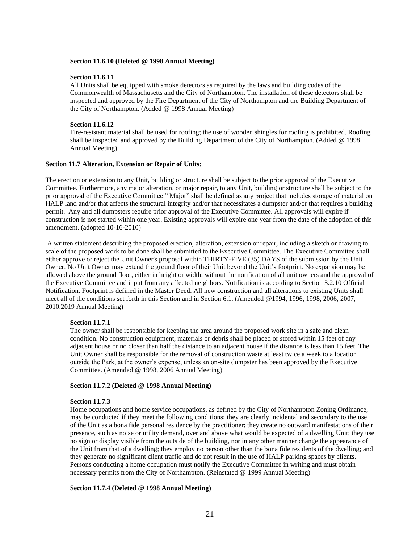#### **Section 11.6.10 (Deleted @ 1998 Annual Meeting)**

#### **Section 11.6.11**

All Units shall be equipped with smoke detectors as required by the laws and building codes of the Commonwealth of Massachusetts and the City of Northampton. The installation of these detectors shall be inspected and approved by the Fire Department of the City of Northampton and the Building Department of the City of Northampton. (Added @ 1998 Annual Meeting)

# **Section 11.6.12**

Fire-resistant material shall be used for roofing; the use of wooden shingles for roofing is prohibited. Roofing shall be inspected and approved by the Building Department of the City of Northampton. (Added @ 1998 Annual Meeting)

# **Section 11.7 Alteration, Extension or Repair of Units**:

The erection or extension to any Unit, building or structure shall be subject to the prior approval of the Executive Committee. Furthermore, any major alteration, or major repair, to any Unit, building or structure shall be subject to the prior approval of the Executive Committee." Major" shall be defined as any project that includes storage of material on HALP land and/or that affects the structural integrity and/or that necessitates a dumpster and/or that requires a building permit. Any and all dumpsters require prior approval of the Executive Committee. All approvals will expire if construction is not started within one year. Existing approvals will expire one year from the date of the adoption of this amendment. (adopted 10-16-2010)

A written statement describing the proposed erection, alteration, extension or repair, including a sketch or drawing to scale of the proposed work to be done shall be submitted to the Executive Committee. The Executive Committee shall either approve or reject the Unit Owner's proposal within THIRTY-FIVE (35) DAYS of the submission by the Unit Owner. No Unit Owner may extend the ground floor of their Unit beyond the Unit's footprint. No expansion may be allowed above the ground floor, either in height or width, without the notification of all unit owners and the approval of the Executive Committee and input from any affected neighbors. Notification is according to Section 3.2.10 Official Notification. Footprint is defined in the Master Deed. All new construction and all alterations to existing Units shall meet all of the conditions set forth in this Section and in Section 6.1. (Amended @1994, 1996, 1998, 2006, 2007, 2010,2019 Annual Meeting)

## **Section 11.7.1**

The owner shall be responsible for keeping the area around the proposed work site in a safe and clean condition. No construction equipment, materials or debris shall be placed or stored within 15 feet of any adjacent house or no closer than half the distance to an adjacent house if the distance is less than 15 feet. The Unit Owner shall be responsible for the removal of construction waste at least twice a week to a location outside the Park, at the owner's expense, unless an on-site dumpster has been approved by the Executive Committee. (Amended @ 1998, 2006 Annual Meeting)

#### **Section 11.7.2 (Deleted @ 1998 Annual Meeting)**

#### **Section 11.7.3**

Home occupations and home service occupations, as defined by the City of Northampton Zoning Ordinance, may be conducted if they meet the following conditions: they are clearly incidental and secondary to the use of the Unit as a bona fide personal residence by the practitioner; they create no outward manifestations of their presence, such as noise or utility demand, over and above what would be expected of a dwelling Unit; they use no sign or display visible from the outside of the building, nor in any other manner change the appearance of the Unit from that of a dwelling; they employ no person other than the bona fide residents of the dwelling; and they generate no significant client traffic and do not result in the use of HALP parking spaces by clients. Persons conducting a home occupation must notify the Executive Committee in writing and must obtain necessary permits from the City of Northampton. (Reinstated @ 1999 Annual Meeting)

## **Section 11.7.4 (Deleted @ 1998 Annual Meeting)**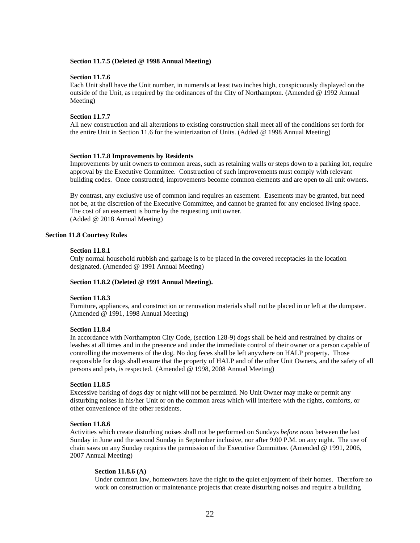#### **Section 11.7.5 (Deleted @ 1998 Annual Meeting)**

#### **Section 11.7.6**

Each Unit shall have the Unit number, in numerals at least two inches high, conspicuously displayed on the outside of the Unit, as required by the ordinances of the City of Northampton. (Amended @ 1992 Annual Meeting)

## **Section 11.7.7**

All new construction and all alterations to existing construction shall meet all of the conditions set forth for the entire Unit in Section 11.6 for the winterization of Units. (Added @ 1998 Annual Meeting)

#### **Section 11.7.8 Improvements by Residents**

Improvements by unit owners to common areas, such as retaining walls or steps down to a parking lot, require approval by the Executive Committee. Construction of such improvements must comply with relevant building codes. Once constructed, improvements become common elements and are open to all unit owners.

By contrast, any exclusive use of common land requires an easement. Easements may be granted, but need not be, at the discretion of the Executive Committee, and cannot be granted for any enclosed living space. The cost of an easement is borne by the requesting unit owner. (Added @ 2018 Annual Meeting)

#### **Section 11.8 Courtesy Rules**

#### **Section 11.8.1**

Only normal household rubbish and garbage is to be placed in the covered receptacles in the location designated. (Amended @ 1991 Annual Meeting)

## **Section 11.8.2 (Deleted @ 1991 Annual Meeting).**

#### **Section 11.8.3**

Furniture, appliances, and construction or renovation materials shall not be placed in or left at the dumpster. (Amended @ 1991, 1998 Annual Meeting)

#### **Section 11.8.4**

In accordance with Northampton City Code, (section 128-9) dogs shall be held and restrained by chains or leashes at all times and in the presence and under the immediate control of their owner or a person capable of controlling the movements of the dog. No dog feces shall be left anywhere on HALP property. Those responsible for dogs shall ensure that the property of HALP and of the other Unit Owners, and the safety of all persons and pets, is respected. (Amended @ 1998, 2008 Annual Meeting)

## **Section 11.8.5**

Excessive barking of dogs day or night will not be permitted. No Unit Owner may make or permit any disturbing noises in his/her Unit or on the common areas which will interfere with the rights, comforts, or other convenience of the other residents.

# **Section 11.8.6**

Activities which create disturbing noises shall not be performed on Sundays *before noon* between the last Sunday in June and the second Sunday in September inclusive, nor after 9:00 P.M. on any night. The use of chain saws on any Sunday requires the permission of the Executive Committee. (Amended @ 1991, 2006, 2007 Annual Meeting)

#### **Section 11.8.6 (A)**

Under common law, homeowners have the right to the quiet enjoyment of their homes. Therefore no work on construction or maintenance projects that create disturbing noises and require a building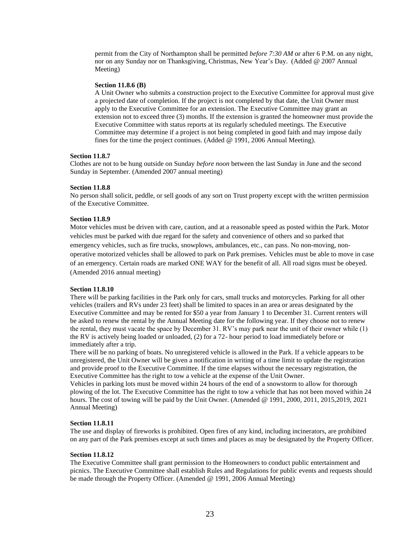permit from the City of Northampton shall be permitted *before 7:30 AM* or after 6 P.M. on any night, nor on any Sunday nor on Thanksgiving, Christmas, New Year's Day. (Added @ 2007 Annual Meeting)

#### **Section 11.8.6 (B)**

A Unit Owner who submits a construction project to the Executive Committee for approval must give a projected date of completion. If the project is not completed by that date, the Unit Owner must apply to the Executive Committee for an extension. The Executive Committee may grant an extension not to exceed three (3) months. If the extension is granted the homeowner must provide the Executive Committee with status reports at its regularly scheduled meetings. The Executive Committee may determine if a project is not being completed in good faith and may impose daily fines for the time the project continues. (Added @ 1991, 2006 Annual Meeting).

# **Section 11.8.7**

Clothes are not to be hung outside on Sunday *before noon* between the last Sunday in June and the second Sunday in September. (Amended 2007 annual meeting)

#### **Section 11.8.8**

No person shall solicit, peddle, or sell goods of any sort on Trust property except with the written permission of the Executive Committee.

#### **Section 11.8.9**

Motor vehicles must be driven with care, caution, and at a reasonable speed as posted within the Park. Motor vehicles must be parked with due regard for the safety and convenience of others and so parked that emergency vehicles, such as fire trucks, snowplows, ambulances, etc., can pass. No non-moving, nonoperative motorized vehicles shall be allowed to park on Park premises. Vehicles must be able to move in case of an emergency. Certain roads are marked ONE WAY for the benefit of all. All road signs must be obeyed. (Amended 2016 annual meeting)

#### **Section 11.8.10**

There will be parking facilities in the Park only for cars, small trucks and motorcycles. Parking for all other vehicles (trailers and RVs under 23 feet) shall be limited to spaces in an area or areas designated by the Executive Committee and may be rented for \$50 a year from January 1 to December 31. Current renters will be asked to renew the rental by the Annual Meeting date for the following year. If they choose not to renew the rental, they must vacate the space by December 31. RV's may park near the unit of their owner while (1) the RV is actively being loaded or unloaded, (2) for a 72- hour period to load immediately before or immediately after a trip.

There will be no parking of boats. No unregistered vehicle is allowed in the Park. If a vehicle appears to be unregistered, the Unit Owner will be given a notification in writing of a time limit to update the registration and provide proof to the Executive Committee. If the time elapses without the necessary registration, the Executive Committee has the right to tow a vehicle at the expense of the Unit Owner.

Vehicles in parking lots must be moved within 24 hours of the end of a snowstorm to allow for thorough plowing of the lot. The Executive Committee has the right to tow a vehicle that has not been moved within 24 hours. The cost of towing will be paid by the Unit Owner. (Amended @ 1991, 2000, 2011, 2015,2019, 2021 Annual Meeting)

#### **Section 11.8.11**

The use and display of fireworks is prohibited. Open fires of any kind, including incinerators, are prohibited on any part of the Park premises except at such times and places as may be designated by the Property Officer.

#### **Section 11.8.12**

The Executive Committee shall grant permission to the Homeowners to conduct public entertainment and picnics. The Executive Committee shall establish Rules and Regulations for public events and requests should be made through the Property Officer. (Amended @ 1991, 2006 Annual Meeting)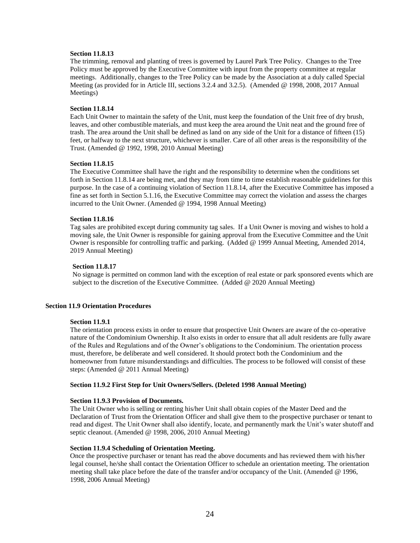# **Section 11.8.13**

The trimming, removal and planting of trees is governed by Laurel Park Tree Policy. Changes to the Tree Policy must be approved by the Executive Committee with input from the property committee at regular meetings. Additionally, changes to the Tree Policy can be made by the Association at a duly called Special Meeting (as provided for in Article III, sections 3.2.4 and 3.2.5). (Amended @ 1998, 2008, 2017 Annual Meetings)

# **Section 11.8.14**

Each Unit Owner to maintain the safety of the Unit, must keep the foundation of the Unit free of dry brush, leaves, and other combustible materials, and must keep the area around the Unit neat and the ground free of trash. The area around the Unit shall be defined as land on any side of the Unit for a distance of fifteen (15) feet, or halfway to the next structure, whichever is smaller. Care of all other areas is the responsibility of the Trust. (Amended @ 1992, 1998, 2010 Annual Meeting)

#### **Section 11.8.15**

The Executive Committee shall have the right and the responsibility to determine when the conditions set forth in Section 11.8.14 are being met, and they may from time to time establish reasonable guidelines for this purpose. In the case of a continuing violation of Section 11.8.14, after the Executive Committee has imposed a fine as set forth in Section 5.1.16, the Executive Committee may correct the violation and assess the charges incurred to the Unit Owner. (Amended @ 1994, 1998 Annual Meeting)

#### **Section 11.8.16**

Tag sales are prohibited except during community tag sales. If a Unit Owner is moving and wishes to hold a moving sale, the Unit Owner is responsible for gaining approval from the Executive Committee and the Unit Owner is responsible for controlling traffic and parking. (Added @ 1999 Annual Meeting, Amended 2014, 2019 Annual Meeting)

#### **Section 11.8.17**

No signage is permitted on common land with the exception of real estate or park sponsored events which are subject to the discretion of the Executive Committee. (Added @ 2020 Annual Meeting)

# **Section 11.9 Orientation Procedures**

#### **Section 11.9.1**

The orientation process exists in order to ensure that prospective Unit Owners are aware of the co-operative nature of the Condominium Ownership. It also exists in order to ensure that all adult residents are fully aware of the Rules and Regulations and of the Owner's obligations to the Condominium. The orientation process must, therefore, be deliberate and well considered. It should protect both the Condominium and the homeowner from future misunderstandings and difficulties. The process to be followed will consist of these steps: (Amended @ 2011 Annual Meeting)

## **Section 11.9.2 First Step for Unit Owners/Sellers. (Deleted 1998 Annual Meeting)**

## **Section 11.9.3 Provision of Documents.**

The Unit Owner who is selling or renting his/her Unit shall obtain copies of the Master Deed and the Declaration of Trust from the Orientation Officer and shall give them to the prospective purchaser or tenant to read and digest. The Unit Owner shall also identify, locate, and permanently mark the Unit's water shutoff and septic cleanout. (Amended @ 1998, 2006, 2010 Annual Meeting)

# **Section 11.9.4 Scheduling of Orientation Meeting.**

Once the prospective purchaser or tenant has read the above documents and has reviewed them with his/her legal counsel, he/she shall contact the Orientation Officer to schedule an orientation meeting. The orientation meeting shall take place before the date of the transfer and/or occupancy of the Unit. (Amended @ 1996, 1998, 2006 Annual Meeting)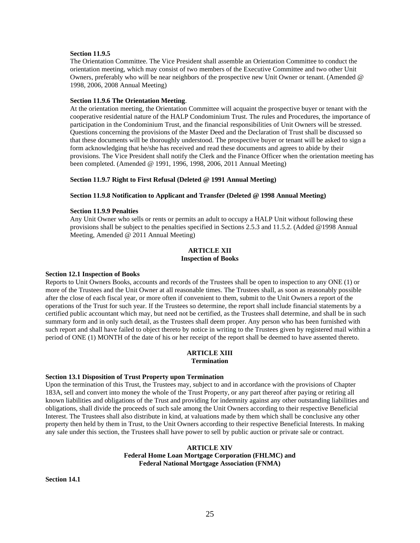# **Section 11.9.5**

The Orientation Committee. The Vice President shall assemble an Orientation Committee to conduct the orientation meeting, which may consist of two members of the Executive Committee and two other Unit Owners, preferably who will be near neighbors of the prospective new Unit Owner or tenant. (Amended @ 1998, 2006, 2008 Annual Meeting)

#### **Section 11.9.6 The Orientation Meeting**.

At the orientation meeting, the Orientation Committee will acquaint the prospective buyer or tenant with the cooperative residential nature of the HALP Condominium Trust. The rules and Procedures, the importance of participation in the Condominium Trust, and the financial responsibilities of Unit Owners will be stressed. Questions concerning the provisions of the Master Deed and the Declaration of Trust shall be discussed so that these documents will be thoroughly understood. The prospective buyer or tenant will be asked to sign a form acknowledging that he/she has received and read these documents and agrees to abide by their provisions. The Vice President shall notify the Clerk and the Finance Officer when the orientation meeting has been completed. (Amended @ 1991, 1996, 1998, 2006, 2011 Annual Meeting)

## **Section 11.9.7 Right to First Refusal (Deleted @ 1991 Annual Meeting)**

#### **Section 11.9.8 Notification to Applicant and Transfer (Deleted @ 1998 Annual Meeting)**

# **Section 11.9.9 Penalties**

Any Unit Owner who sells or rents or permits an adult to occupy a HALP Unit without following these provisions shall be subject to the penalties specified in Sections 2.5.3 and 11.5.2. (Added @1998 Annual Meeting, Amended @ 2011 Annual Meeting)

# **ARTICLE XII Inspection of Books**

#### **Section 12.1 Inspection of Books**

Reports to Unit Owners Books, accounts and records of the Trustees shall be open to inspection to any ONE (1) or more of the Trustees and the Unit Owner at all reasonable times. The Trustees shall, as soon as reasonably possible after the close of each fiscal year, or more often if convenient to them, submit to the Unit Owners a report of the operations of the Trust for such year. If the Trustees so determine, the report shall include financial statements by a certified public accountant which may, but need not be certified, as the Trustees shall determine, and shall be in such summary form and in only such detail, as the Trustees shall deem proper. Any person who has been furnished with such report and shall have failed to object thereto by notice in writing to the Trustees given by registered mail within a period of ONE (1) MONTH of the date of his or her receipt of the report shall be deemed to have assented thereto.

#### **ARTICLE XIII Termination**

## **Section 13.1 Disposition of Trust Property upon Termination**

Upon the termination of this Trust, the Trustees may, subject to and in accordance with the provisions of Chapter 183A, sell and convert into money the whole of the Trust Property, or any part thereof after paying or retiring all known liabilities and obligations of the Trust and providing for indemnity against any other outstanding liabilities and obligations, shall divide the proceeds of such sale among the Unit Owners according to their respective Beneficial Interest. The Trustees shall also distribute in kind, at valuations made by them which shall be conclusive any other property then held by them in Trust, to the Unit Owners according to their respective Beneficial Interests. In making any sale under this section, the Trustees shall have power to sell by public auction or private sale or contract.

# **ARTICLE XIV Federal Home Loan Mortgage Corporation (FHLMC) and Federal National Mortgage Association (FNMA)**

**Section 14.1**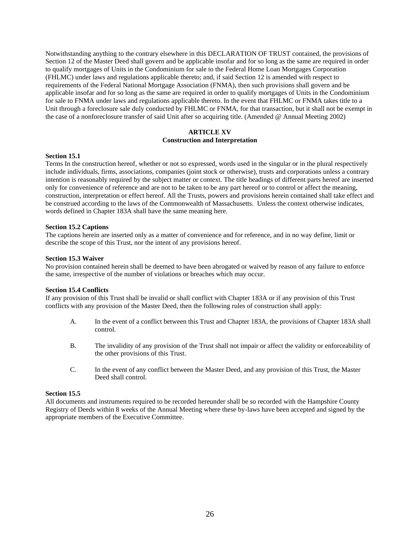Notwithstanding anything to the contrary elsewhere in this DECLARATION OF TRUST contained, the provisions of Section 12 of the Master Deed shall govern and be applicable insofar and for so long as the same are required in order to qualify mortgages of Units in the Condominium for sale to the Federal Home Loan Mortgages Corporation (FHLMC) under laws and regulations applicable thereto; and, if said Section 12 is amended with respect to requirements of the Federal National Mortgage Association (FNMA), then such provisions shall govern and be applicable insofar and for so long as the same are required in order to qualify mortgages of Units in the Condominium for sale to FNMA under laws and regulations applicable thereto. In the event that FHLMC or FNMA takes title to a Unit through a foreclosure sale duly conducted by FHLMC or FNMA, for that transaction, but it shall not be exempt in the case of a nonforeclosure transfer of said Unit after so acquiring title. (Amended @ Annual Meeting 2002)

# **ARTICLE XV Construction and Interpretation**

# **Section 15.1**

Terms In the construction hereof, whether or not so expressed, words used in the singular or in the plural respectively include individuals, firms, associations, companies (joint stock or otherwise), trusts and corporations unless a contrary intention is reasonably required by the subject matter or context. The title headings of different parts hereof are inserted only for convenience of reference and are not to be taken to be any part hereof or to control or affect the meaning, construction, interpretation or effect hereof. All the Trusts, powers and provisions herein contained shall take effect and be construed according to the laws of the Commonwealth of Massachusetts. Unless the context otherwise indicates, words defined in Chapter 183A shall have the same meaning here.

## **Section 15.2 Captions**

The captions herein are inserted only as a matter of convenience and for reference, and in no way define, limit or describe the scope of this Trust, nor the intent of any provisions hereof.

# **Section 15.3 Waiver**

No provision contained herein shall be deemed to have been abrogated or waived by reason of any failure to enforce the same, irrespective of the number of violations or breaches which may occur.

## **Section 15.4 Conflicts**

If any provision of this Trust shall be invalid or shall conflict with Chapter 183A or if any provision of this Trust conflicts with any provision of the Master Deed, then the following rules of construction shall apply:

- A. In the event of a conflict between this Trust and Chapter 183A, the provisions of Chapter 183A shall control.
- B. The invalidity of any provision of the Trust shall not impair or affect the validity or enforceability of the other provisions of this Trust.
- C. In the event of any conflict between the Master Deed, and any provision of this Trust, the Master Deed shall control.

# **Section 15.5**

All documents and instruments required to be recorded hereunder shall be so recorded with the Hampshire County Registry of Deeds within 8 weeks of the Annual Meeting where these by-laws have been accepted and signed by the appropriate members of the Executive Committee.